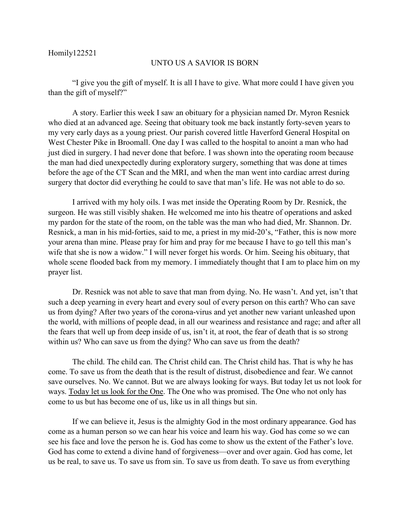## UNTO US A SAVIOR IS BORN

"I give you the gift of myself. It is all I have to give. What more could I have given you than the gift of myself?"

A story. Earlier this week I saw an obituary for a physician named Dr. Myron Resnick who died at an advanced age. Seeing that obituary took me back instantly forty-seven years to my very early days as a young priest. Our parish covered little Haverford General Hospital on West Chester Pike in Broomall. One day I was called to the hospital to anoint a man who had just died in surgery. I had never done that before. I was shown into the operating room because the man had died unexpectedly during exploratory surgery, something that was done at times before the age of the CT Scan and the MRI, and when the man went into cardiac arrest during surgery that doctor did everything he could to save that man's life. He was not able to do so.

I arrived with my holy oils. I was met inside the Operating Room by Dr. Resnick, the surgeon. He was still visibly shaken. He welcomed me into his theatre of operations and asked my pardon for the state of the room, on the table was the man who had died, Mr. Shannon. Dr. Resnick, a man in his mid-forties, said to me, a priest in my mid-20's, "Father, this is now more your arena than mine. Please pray for him and pray for me because I have to go tell this man's wife that she is now a widow." I will never forget his words. Or him. Seeing his obituary, that whole scene flooded back from my memory. I immediately thought that I am to place him on my prayer list.

Dr. Resnick was not able to save that man from dying. No. He wasn't. And yet, isn't that such a deep yearning in every heart and every soul of every person on this earth? Who can save us from dying? After two years of the corona-virus and yet another new variant unleashed upon the world, with millions of people dead, in all our weariness and resistance and rage; and after all the fears that well up from deep inside of us, isn't it, at root, the fear of death that is so strong within us? Who can save us from the dying? Who can save us from the death?

The child. The child can. The Christ child can. The Christ child has. That is why he has come. To save us from the death that is the result of distrust, disobedience and fear. We cannot save ourselves. No. We cannot. But we are always looking for ways. But today let us not look for ways. Today let us look for the One. The One who was promised. The One who not only has come to us but has become one of us, like us in all things but sin.

If we can believe it, Jesus is the almighty God in the most ordinary appearance. God has come as a human person so we can hear his voice and learn his way. God has come so we can see his face and love the person he is. God has come to show us the extent of the Father's love. God has come to extend a divine hand of forgiveness—over and over again. God has come, let us be real, to save us. To save us from sin. To save us from death. To save us from everything